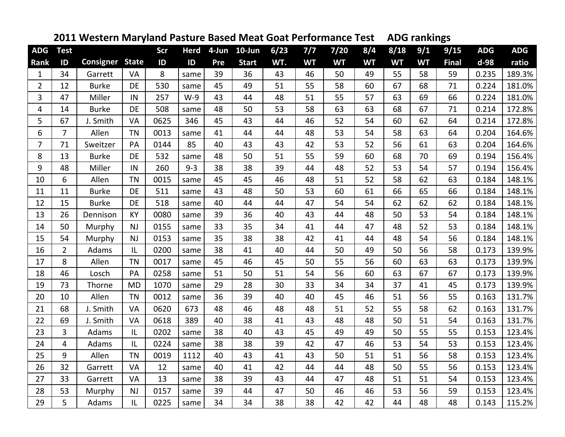|                |                |                  | . <i>.</i> . |      |             |     |              |      |           |           |           |           | יסי יייייי |              |            |            |
|----------------|----------------|------------------|--------------|------|-------------|-----|--------------|------|-----------|-----------|-----------|-----------|------------|--------------|------------|------------|
| <b>ADG</b>     | <b>Test</b>    |                  |              | Scr  | <b>Herd</b> |     | 4-Jun 10-Jun | 6/23 | 7/7       | $7/20$    | 8/4       | 8/18      | 9/1        | 9/15         | <b>ADG</b> | <b>ADG</b> |
| Rank           | ID             | <b>Consigner</b> | <b>State</b> | ID   | ID          | Pre | <b>Start</b> | WT.  | <b>WT</b> | <b>WT</b> | <b>WT</b> | <b>WT</b> | <b>WT</b>  | <b>Final</b> | d-98       | ratio      |
| $\mathbf{1}$   | 34             | Garrett          | VA           | 8    | same        | 39  | 36           | 43   | 46        | 50        | 49        | 55        | 58         | 59           | 0.235      | 189.3%     |
| $\overline{2}$ | 12             | <b>Burke</b>     | DE           | 530  | same        | 45  | 49           | 51   | 55        | 58        | 60        | 67        | 68         | 71           | 0.224      | 181.0%     |
| 3              | 47             | Miller           | IN           | 257  | $W-9$       | 43  | 44           | 48   | 51        | 55        | 57        | 63        | 69         | 66           | 0.224      | 181.0%     |
| 4              | 14             | <b>Burke</b>     | DE           | 508  | same        | 48  | 50           | 53   | 58        | 63        | 63        | 68        | 67         | 71           | 0.214      | 172.8%     |
| 5              | 67             | J. Smith         | VA           | 0625 | 346         | 45  | 43           | 44   | 46        | 52        | 54        | 60        | 62         | 64           | 0.214      | 172.8%     |
| 6              | $\overline{7}$ | Allen            | <b>TN</b>    | 0013 | same        | 41  | 44           | 44   | 48        | 53        | 54        | 58        | 63         | 64           | 0.204      | 164.6%     |
| $\overline{7}$ | 71             | Sweitzer         | PA           | 0144 | 85          | 40  | 43           | 43   | 42        | 53        | 52        | 56        | 61         | 63           | 0.204      | 164.6%     |
| 8              | 13             | <b>Burke</b>     | DE           | 532  | same        | 48  | 50           | 51   | 55        | 59        | 60        | 68        | 70         | 69           | 0.194      | 156.4%     |
| 9              | 48             | Miller           | IN           | 260  | $9 - 3$     | 38  | 38           | 39   | 44        | 48        | 52        | 53        | 54         | 57           | 0.194      | 156.4%     |
| 10             | 6              | Allen            | <b>TN</b>    | 0015 | same        | 45  | 45           | 46   | 48        | 51        | 52        | 58        | 62         | 63           | 0.184      | 148.1%     |
| 11             | 11             | <b>Burke</b>     | <b>DE</b>    | 511  | same        | 43  | 48           | 50   | 53        | 60        | 61        | 66        | 65         | 66           | 0.184      | 148.1%     |
| 12             | 15             | <b>Burke</b>     | DE           | 518  | same        | 40  | 44           | 44   | 47        | 54        | 54        | 62        | 62         | 62           | 0.184      | 148.1%     |
| 13             | 26             | Dennison         | KY           | 0080 | same        | 39  | 36           | 40   | 43        | 44        | 48        | 50        | 53         | 54           | 0.184      | 148.1%     |
| 14             | 50             | Murphy           | <b>NJ</b>    | 0155 | same        | 33  | 35           | 34   | 41        | 44        | 47        | 48        | 52         | 53           | 0.184      | 148.1%     |
| 15             | 54             | Murphy           | <b>NJ</b>    | 0153 | same        | 35  | 38           | 38   | 42        | 41        | 44        | 48        | 54         | 56           | 0.184      | 148.1%     |
| 16             | $\overline{2}$ | Adams            | IL           | 0200 | same        | 38  | 41           | 40   | 44        | 50        | 49        | 50        | 56         | 58           | 0.173      | 139.9%     |
| 17             | 8              | Allen            | <b>TN</b>    | 0017 | same        | 45  | 46           | 45   | 50        | 55        | 56        | 60        | 63         | 63           | 0.173      | 139.9%     |
| 18             | 46             | Losch            | PA           | 0258 | same        | 51  | 50           | 51   | 54        | 56        | 60        | 63        | 67         | 67           | 0.173      | 139.9%     |
| 19             | 73             | Thorne           | <b>MD</b>    | 1070 | same        | 29  | 28           | 30   | 33        | 34        | 34        | 37        | 41         | 45           | 0.173      | 139.9%     |
| 20             | 10             | Allen            | <b>TN</b>    | 0012 | same        | 36  | 39           | 40   | 40        | 45        | 46        | 51        | 56         | 55           | 0.163      | 131.7%     |
| 21             | 68             | J. Smith         | <b>VA</b>    | 0620 | 673         | 48  | 46           | 48   | 48        | 51        | 52        | 55        | 58         | 62           | 0.163      | 131.7%     |
| 22             | 69             | J. Smith         | VA           | 0618 | 389         | 40  | 38           | 41   | 43        | 48        | 48        | 50        | 51         | 54           | 0.163      | 131.7%     |
| 23             | 3              | Adams            | IL           | 0202 | same        | 38  | 40           | 43   | 45        | 49        | 49        | 50        | 55         | 55           | 0.153      | 123.4%     |
| 24             | $\overline{4}$ | Adams            | IL           | 0224 | same        | 38  | 38           | 39   | 42        | 47        | 46        | 53        | 54         | 53           | 0.153      | 123.4%     |
| 25             | 9              | Allen            | <b>TN</b>    | 0019 | 1112        | 40  | 43           | 41   | 43        | 50        | 51        | 51        | 56         | 58           | 0.153      | 123.4%     |
| 26             | 32             | Garrett          | VA           | 12   | same        | 40  | 41           | 42   | 44        | 44        | 48        | 50        | 55         | 56           | 0.153      | 123.4%     |
| 27             | 33             | Garrett          | VA           | 13   | same        | 38  | 39           | 43   | 44        | 47        | 48        | 51        | 51         | 54           | 0.153      | 123.4%     |
| 28             | 53             | Murphy           | <b>NJ</b>    | 0157 | same        | 39  | 44           | 47   | 50        | 46        | 46        | 53        | 56         | 59           | 0.153      | 123.4%     |
| 29             | 5              | Adams            | IL           | 0225 | same        | 34  | 34           | 38   | 38        | 42        | 42        | 44        | 48         | 48           | 0.143      | 115.2%     |

## **Western Maryland Pasture Based Meat Goat Performance Test ADG rankings**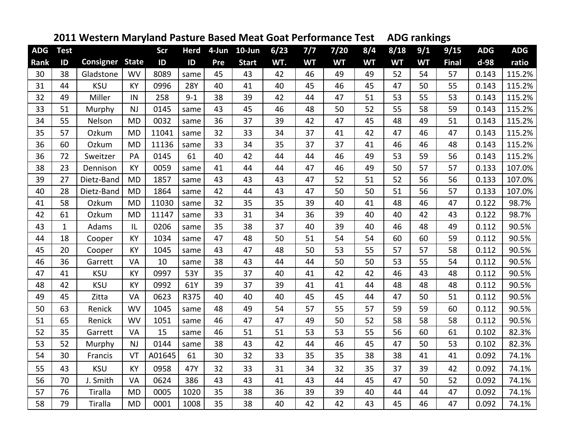| <b>ADG</b> |              |                  | -- ,         |        |             |     |              |      |           |           |           |           |           | о            | <b>ADG</b> | <b>ADG</b> |
|------------|--------------|------------------|--------------|--------|-------------|-----|--------------|------|-----------|-----------|-----------|-----------|-----------|--------------|------------|------------|
|            | <b>Test</b>  |                  |              | Scr    | <b>Herd</b> |     | 4-Jun 10-Jun | 6/23 | 7/7       | 7/20      | 8/4       | 8/18      | 9/1       | 9/15         |            |            |
| Rank       | ID           | <b>Consigner</b> | <b>State</b> | ID     | ID          | Pre | <b>Start</b> | WT.  | <b>WT</b> | <b>WT</b> | <b>WT</b> | <b>WT</b> | <b>WT</b> | <b>Final</b> | d-98       | ratio      |
| 30         | 38           | Gladstone        | <b>WV</b>    | 8089   | same        | 45  | 43           | 42   | 46        | 49        | 49        | 52        | 54        | 57           | 0.143      | 115.2%     |
| 31         | 44           | <b>KSU</b>       | KY           | 0996   | <b>28Y</b>  | 40  | 41           | 40   | 45        | 46        | 45        | 47        | 50        | 55           | 0.143      | 115.2%     |
| 32         | 49           | Miller           | IN           | 258    | $9 - 1$     | 38  | 39           | 42   | 44        | 47        | 51        | 53        | 55        | 53           | 0.143      | 115.2%     |
| 33         | 51           | Murphy           | <b>NJ</b>    | 0145   | same        | 43  | 45           | 46   | 48        | 50        | 52        | 55        | 58        | 59           | 0.143      | 115.2%     |
| 34         | 55           | Nelson           | <b>MD</b>    | 0032   | same        | 36  | 37           | 39   | 42        | 47        | 45        | 48        | 49        | 51           | 0.143      | 115.2%     |
| 35         | 57           | Ozkum            | <b>MD</b>    | 11041  | same        | 32  | 33           | 34   | 37        | 41        | 42        | 47        | 46        | 47           | 0.143      | 115.2%     |
| 36         | 60           | Ozkum            | <b>MD</b>    | 11136  | same        | 33  | 34           | 35   | 37        | 37        | 41        | 46        | 46        | 48           | 0.143      | 115.2%     |
| 36         | 72           | Sweitzer         | PA           | 0145   | 61          | 40  | 42           | 44   | 44        | 46        | 49        | 53        | 59        | 56           | 0.143      | 115.2%     |
| 38         | 23           | Dennison         | <b>KY</b>    | 0059   | same        | 41  | 44           | 44   | 47        | 46        | 49        | 50        | 57        | 57           | 0.133      | 107.0%     |
| 39         | 27           | Dietz-Band       | <b>MD</b>    | 1857   | same        | 43  | 43           | 43   | 47        | 52        | 51        | 52        | 56        | 56           | 0.133      | 107.0%     |
| 40         | 28           | Dietz-Band       | <b>MD</b>    | 1864   | same        | 42  | 44           | 43   | 47        | 50        | 50        | 51        | 56        | 57           | 0.133      | 107.0%     |
| 41         | 58           | Ozkum            | <b>MD</b>    | 11030  | same        | 32  | 35           | 35   | 39        | 40        | 41        | 48        | 46        | 47           | 0.122      | 98.7%      |
| 42         | 61           | Ozkum            | <b>MD</b>    | 11147  | same        | 33  | 31           | 34   | 36        | 39        | 40        | 40        | 42        | 43           | 0.122      | 98.7%      |
| 43         | $\mathbf{1}$ | Adams            | IL           | 0206   | same        | 35  | 38           | 37   | 40        | 39        | 40        | 46        | 48        | 49           | 0.112      | 90.5%      |
| 44         | 18           | Cooper           | KY           | 1034   | same        | 47  | 48           | 50   | 51        | 54        | 54        | 60        | 60        | 59           | 0.112      | 90.5%      |
| 45         | 20           | Cooper           | KY           | 1045   | same        | 43  | 47           | 48   | 50        | 53        | 55        | 57        | 57        | 58           | 0.112      | 90.5%      |
| 46         | 36           | Garrett          | VA           | 10     | same        | 38  | 43           | 44   | 44        | 50        | 50        | 53        | 55        | 54           | 0.112      | 90.5%      |
| 47         | 41           | <b>KSU</b>       | KY           | 0997   | 53Y         | 35  | 37           | 40   | 41        | 42        | 42        | 46        | 43        | 48           | 0.112      | 90.5%      |
| 48         | 42           | <b>KSU</b>       | KY           | 0992   | 61Y         | 39  | 37           | 39   | 41        | 41        | 44        | 48        | 48        | 48           | 0.112      | 90.5%      |
| 49         | 45           | Zitta            | VA           | 0623   | R375        | 40  | 40           | 40   | 45        | 45        | 44        | 47        | 50        | 51           | 0.112      | 90.5%      |
| 50         | 63           | Renick           | <b>WV</b>    | 1045   | same        | 48  | 49           | 54   | 57        | 55        | 57        | 59        | 59        | 60           | 0.112      | 90.5%      |
| 51         | 65           | Renick           | <b>WV</b>    | 1051   | same        | 46  | 47           | 47   | 49        | 50        | 52        | 58        | 58        | 58           | 0.112      | 90.5%      |
| 52         | 35           | Garrett          | VA           | 15     | same        | 46  | 51           | 51   | 53        | 53        | 55        | 56        | 60        | 61           | 0.102      | 82.3%      |
| 53         | 52           | Murphy           | <b>NJ</b>    | 0144   | same        | 38  | 43           | 42   | 44        | 46        | 45        | 47        | 50        | 53           | 0.102      | 82.3%      |
| 54         | 30           | Francis          | VT           | A01645 | 61          | 30  | 32           | 33   | 35        | 35        | 38        | 38        | 41        | 41           | 0.092      | 74.1%      |
| 55         | 43           | <b>KSU</b>       | KY           | 0958   | 47Y         | 32  | 33           | 31   | 34        | 32        | 35        | 37        | 39        | 42           | 0.092      | 74.1%      |
| 56         | 70           | J. Smith         | VA           | 0624   | 386         | 43  | 43           | 41   | 43        | 44        | 45        | 47        | 50        | 52           | 0.092      | 74.1%      |
| 57         | 76           | Tiralla          | <b>MD</b>    | 0005   | 1020        | 35  | 38           | 36   | 39        | 39        | 40        | 44        | 44        | 47           | 0.092      | 74.1%      |
| 58         | 79           | Tiralla          | <b>MD</b>    | 0001   | 1008        | 35  | 38           | 40   | 42        | 42        | 43        | 45        | 46        | 47           | 0.092      | 74.1%      |

## **Western Maryland Pasture Based Meat Goat Performance Test ADG rankings**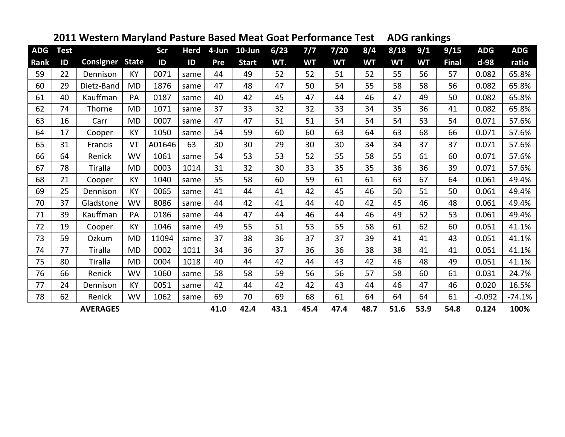| <b>ADG</b> |             |                 |              |        |             | 4-Jun |              | 6/23 |           |           |           |           |           | U            | <b>ADG</b> | <b>ADG</b> |
|------------|-------------|-----------------|--------------|--------|-------------|-------|--------------|------|-----------|-----------|-----------|-----------|-----------|--------------|------------|------------|
|            | <b>Test</b> |                 |              | Scr    | <b>Herd</b> |       | $10$ -Jun    |      | 7/7       | 7/20      | 8/4       | 8/18      | 9/1       | 9/15         |            |            |
| Rank       | ID          | Consigner       | <b>State</b> | ID     | ID          | Pre   | <b>Start</b> | WT.  | <b>WT</b> | <b>WT</b> | <b>WT</b> | <b>WT</b> | <b>WT</b> | <b>Final</b> | d-98       | ratio      |
| 59         | 22          | Dennison        | KY           | 0071   | same        | 44    | 49           | 52   | 52        | 51        | 52        | 55        | 56        | 57           | 0.082      | 65.8%      |
| 60         | 29          | Dietz-Band      | <b>MD</b>    | 1876   | same        | 47    | 48           | 47   | 50        | 54        | 55        | 58        | 58        | 56           | 0.082      | 65.8%      |
| 61         | 40          | Kauffman        | PA           | 0187   | same        | 40    | 42           | 45   | 47        | 44        | 46        | 47        | 49        | 50           | 0.082      | 65.8%      |
| 62         | 74          | Thorne          | <b>MD</b>    | 1071   | same        | 37    | 33           | 32   | 32        | 33        | 34        | 35        | 36        | 41           | 0.082      | 65.8%      |
| 63         | 16          | Carr            | <b>MD</b>    | 0007   | same        | 47    | 47           | 51   | 51        | 54        | 54        | 54        | 53        | 54           | 0.071      | 57.6%      |
| 64         | 17          | Cooper          | KY           | 1050   | same        | 54    | 59           | 60   | 60        | 63        | 64        | 63        | 68        | 66           | 0.071      | 57.6%      |
| 65         | 31          | Francis         | VT           | A01646 | 63          | 30    | 30           | 29   | 30        | 30        | 34        | 34        | 37        | 37           | 0.071      | 57.6%      |
| 66         | 64          | Renick          | <b>WV</b>    | 1061   | same        | 54    | 53           | 53   | 52        | 55        | 58        | 55        | 61        | 60           | 0.071      | 57.6%      |
| 67         | 78          | <b>Tiralla</b>  | <b>MD</b>    | 0003   | 1014        | 31    | 32           | 30   | 33        | 35        | 35        | 36        | 36        | 39           | 0.071      | 57.6%      |
| 68         | 21          | Cooper          | <b>KY</b>    | 1040   | same        | 55    | 58           | 60   | 59        | 61        | 61        | 63        | 67        | 64           | 0.061      | 49.4%      |
| 69         | 25          | Dennison        | <b>KY</b>    | 0065   | same        | 41    | 44           | 41   | 42        | 45        | 46        | 50        | 51        | 50           | 0.061      | 49.4%      |
| 70         | 37          | Gladstone       | WV           | 8086   | same        | 44    | 42           | 41   | 44        | 40        | 42        | 45        | 46        | 48           | 0.061      | 49.4%      |
| 71         | 39          | Kauffman        | PA           | 0186   | same        | 44    | 47           | 44   | 46        | 44        | 46        | 49        | 52        | 53           | 0.061      | 49.4%      |
| 72         | 19          | Cooper          | KY           | 1046   | same        | 49    | 55           | 51   | 53        | 55        | 58        | 61        | 62        | 60           | 0.051      | 41.1%      |
| 73         | 59          | Ozkum           | <b>MD</b>    | 11094  | same        | 37    | 38           | 36   | 37        | 37        | 39        | 41        | 41        | 43           | 0.051      | 41.1%      |
| 74         | 77          | <b>Tiralla</b>  | <b>MD</b>    | 0002   | 1011        | 34    | 36           | 37   | 36        | 36        | 38        | 38        | 41        | 41           | 0.051      | 41.1%      |
| 75         | 80          | Tiralla         | <b>MD</b>    | 0004   | 1018        | 40    | 44           | 42   | 44        | 43        | 42        | 46        | 48        | 49           | 0.051      | 41.1%      |
| 76         | 66          | Renick          | <b>WV</b>    | 1060   | same        | 58    | 58           | 59   | 56        | 56        | 57        | 58        | 60        | 61           | 0.031      | 24.7%      |
| 77         | 24          | Dennison        | <b>KY</b>    | 0051   | same        | 42    | 44           | 42   | 42        | 43        | 44        | 46        | 47        | 46           | 0.020      | 16.5%      |
| 78         | 62          | Renick          | <b>WV</b>    | 1062   | same        | 69    | 70           | 69   | 68        | 61        | 64        | 64        | 64        | 61           | $-0.092$   | $-74.1%$   |
|            |             | <b>AVERAGES</b> |              |        |             | 41.0  | 42.4         | 43.1 | 45.4      | 47.4      | 48.7      | 51.6      | 53.9      | 54.8         | 0.124      | 100%       |

## **Western Maryland Pasture Based Meat Goat Performance Test ADG rankings**